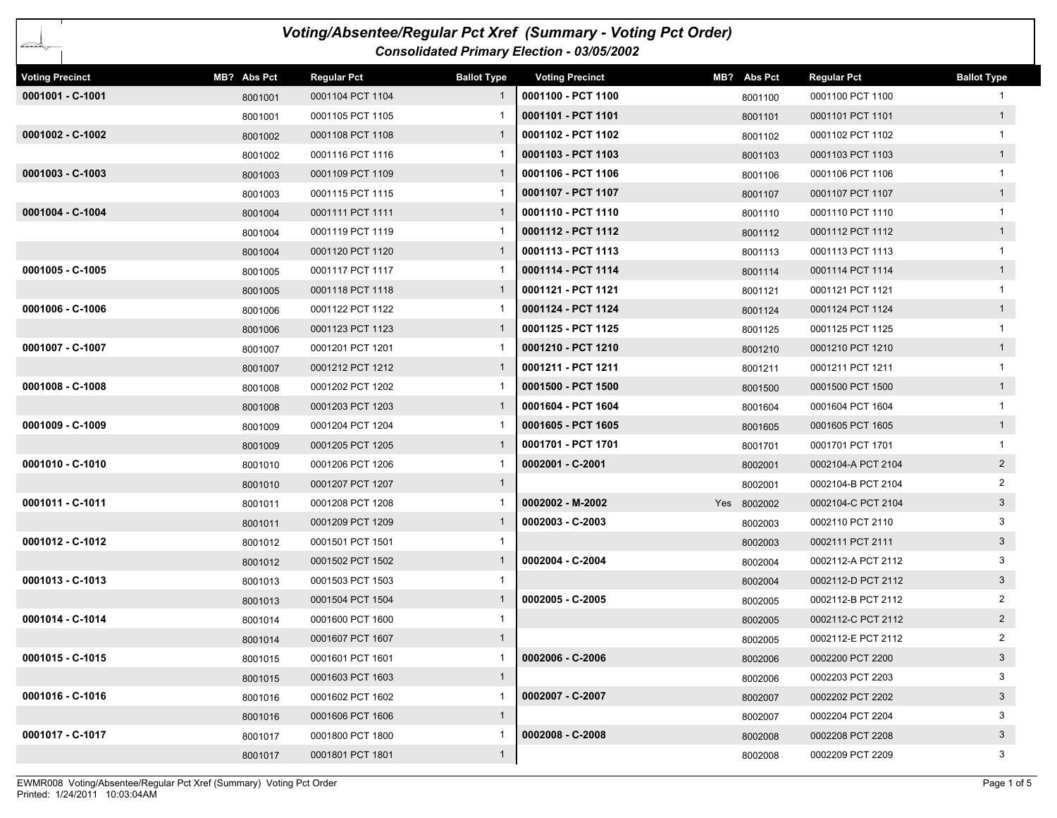|                        |             |                    |                    | Voting/Absentee/Regular Pct Xref (Summary - Voting Pct Order) |             |                    |                    |
|------------------------|-------------|--------------------|--------------------|---------------------------------------------------------------|-------------|--------------------|--------------------|
| ∠≍∽≥                   |             |                    |                    | Consolidated Primary Election - 03/05/2002                    |             |                    |                    |
| <b>Voting Precinct</b> | MB? Abs Pct | <b>Regular Pct</b> | <b>Ballot Type</b> | <b>Voting Precinct</b>                                        | MB? Abs Pct | <b>Regular Pct</b> | <b>Ballot Type</b> |
| 0001001 - C-1001       | 8001001     | 0001104 PCT 1104   | 1                  | 0001100 - PCT 1100                                            | 8001100     | 0001100 PCT 1100   |                    |
|                        | 8001001     | 0001105 PCT 1105   |                    | 0001101 - PCT 1101                                            | 8001101     | 0001101 PCT 1101   | 1                  |
| 0001002 - C-1002       | 8001002     | 0001108 PCT 1108   |                    | 0001102 - PCT 1102                                            | 8001102     | 0001102 PCT 1102   |                    |
|                        | 8001002     | 0001116 PCT 1116   |                    | 0001103 - PCT 1103                                            | 8001103     | 0001103 PCT 1103   | 1                  |
| $0001003 - C-1003$     | 8001003     | 0001109 PCT 1109   |                    | 0001106 - PCT 1106                                            | 8001106     | 0001106 PCT 1106   | $\mathbf{1}$       |
|                        | 8001003     | 0001115 PCT 1115   |                    | 0001107 - PCT 1107                                            | 8001107     | 0001107 PCT 1107   | 1                  |
| 0001004 - C-1004       | 8001004     | 0001111 PCT 1111   | $\mathbf{1}$       | 0001110 - PCT 1110                                            | 8001110     | 0001110 PCT 1110   |                    |
|                        | 8001004     | 0001119 PCT 1119   |                    | 0001112 - PCT 1112                                            | 8001112     | 0001112 PCT 1112   | 1                  |
|                        | 8001004     | 0001120 PCT 1120   | $\mathbf{1}$       | 0001113 - PCT 1113                                            | 8001113     | 0001113 PCT 1113   |                    |
| $0001005 - C - 1005$   | 8001005     | 0001117 PCT 1117   |                    | 0001114 - PCT 1114                                            | 8001114     | 0001114 PCT 1114   | 1                  |
|                        | 8001005     | 0001118 PCT 1118   | $\mathbf{1}$       | 0001121 - PCT 1121                                            | 8001121     | 0001121 PCT 1121   | $\mathbf{1}$       |
| 0001006 - C-1006       | 8001006     | 0001122 PCT 1122   |                    | 0001124 - PCT 1124                                            | 8001124     | 0001124 PCT 1124   | 1                  |
|                        | 8001006     | 0001123 PCT 1123   | -1                 | 0001125 - PCT 1125                                            | 8001125     | 0001125 PCT 1125   |                    |
| 0001007 - C-1007       | 8001007     | 0001201 PCT 1201   |                    | 0001210 - PCT 1210                                            | 8001210     | 0001210 PCT 1210   | 1                  |
|                        | 8001007     | 0001212 PCT 1212   |                    | 0001211 - PCT 1211                                            | 8001211     | 0001211 PCT 1211   | $\mathbf{1}$       |
| $0001008 - C-1008$     | 8001008     | 0001202 PCT 1202   |                    | 0001500 - PCT 1500                                            | 8001500     | 0001500 PCT 1500   | 1                  |
|                        | 8001008     | 0001203 PCT 1203   |                    | 0001604 - PCT 1604                                            | 8001604     | 0001604 PCT 1604   |                    |
| $0001009 - C-1009$     | 8001009     | 0001204 PCT 1204   |                    | 0001605 - PCT 1605                                            | 8001605     | 0001605 PCT 1605   | 1                  |
|                        | 8001009     | 0001205 PCT 1205   | 1                  | 0001701 - PCT 1701                                            | 8001701     | 0001701 PCT 1701   |                    |
| 0001010 - C-1010       | 8001010     | 0001206 PCT 1206   |                    | 0002001 - C-2001                                              | 8002001     | 0002104-A PCT 2104 | $\overline{2}$     |
|                        | 8001010     | 0001207 PCT 1207   | $\mathbf{1}$       |                                                               | 8002001     | 0002104-B PCT 2104 | $\overline{2}$     |
| 0001011 - C-1011       | 8001011     | 0001208 PCT 1208   |                    | 0002002 - M-2002                                              | Yes 8002002 | 0002104-C PCT 2104 | 3 <sup>1</sup>     |
|                        | 8001011     | 0001209 PCT 1209   | 1                  | $0002003 - C-2003$                                            | 8002003     | 0002110 PCT 2110   | 3                  |
| 0001012 - C-1012       | 8001012     | 0001501 PCT 1501   | 1                  |                                                               | 8002003     | 0002111 PCT 2111   | $\mathbf{3}$       |
|                        | 8001012     | 0001502 PCT 1502   | $\mathbf{1}$       | 0002004 - C-2004                                              | 8002004     | 0002112-A PCT 2112 | 3                  |
| 0001013 - C-1013       | 8001013     | 0001503 PCT 1503   | -1                 |                                                               | 8002004     | 0002112-D PCT 2112 | $\mathbf{3}$       |
|                        | 8001013     | 0001504 PCT 1504   | 1                  | 0002005 - C-2005                                              | 8002005     | 0002112-B PCT 2112 | 2                  |
| 0001014 - C-1014       | 8001014     | 0001600 PCT 1600   | $\mathbf{1}$       |                                                               | 8002005     | 0002112-C PCT 2112 | $\overline{2}$     |
|                        | 8001014     | 0001607 PCT 1607   | $\mathbf{1}$       |                                                               | 8002005     | 0002112-E PCT 2112 | $\overline{2}$     |
| 0001015 - C-1015       | 8001015     | 0001601 PCT 1601   | 1                  | 0002006 - C-2006                                              | 8002006     | 0002200 PCT 2200   | $\mathbf{3}$       |
|                        | 8001015     | 0001603 PCT 1603   | $\mathbf{1}$       |                                                               | 8002006     | 0002203 PCT 2203   | 3                  |
| 0001016 - C-1016       | 8001016     | 0001602 PCT 1602   | -1                 | 0002007 - C-2007                                              | 8002007     | 0002202 PCT 2202   | $3\overline{3}$    |
|                        | 8001016     | 0001606 PCT 1606   | $\mathbf{1}$       |                                                               | 8002007     | 0002204 PCT 2204   | 3                  |
| 0001017 - C-1017       | 8001017     | 0001800 PCT 1800   |                    | $0002008 - C - 2008$                                          | 8002008     | 0002208 PCT 2208   | $\mathbf{3}$       |
|                        | 8001017     | 0001801 PCT 1801   | $\mathbf{1}$       |                                                               | 8002008     | 0002209 PCT 2209   | 3                  |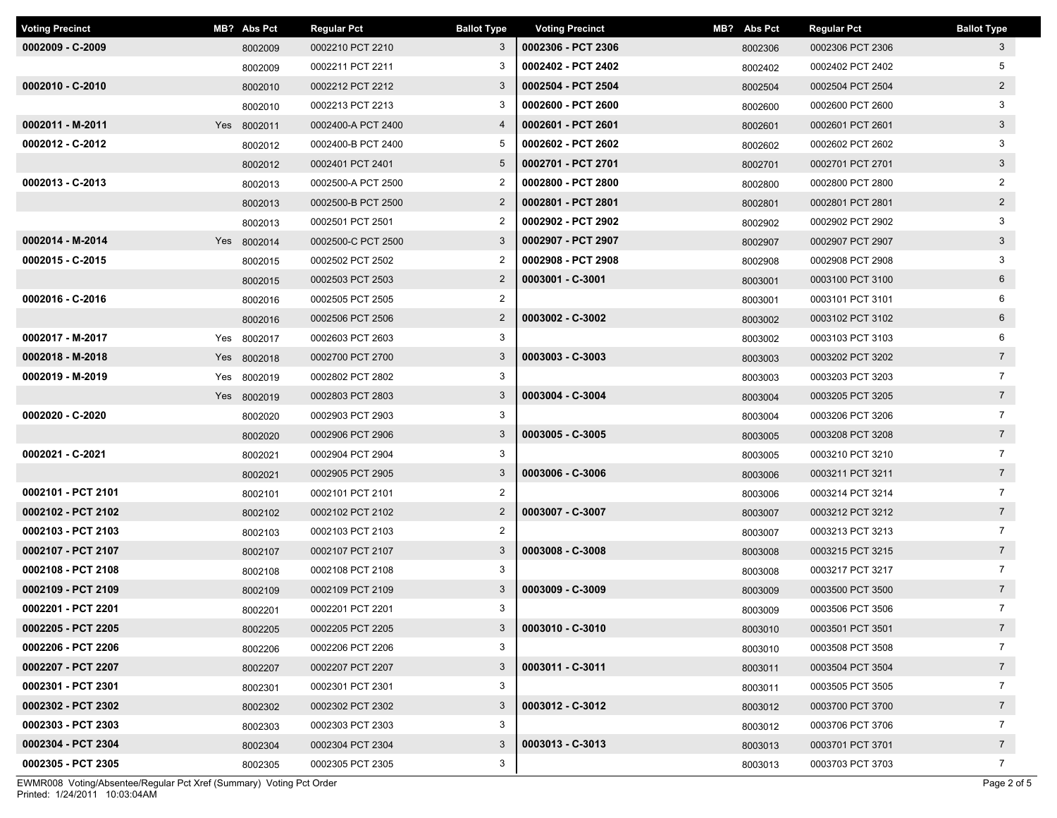| <b>Voting Precinct</b> | MB? Abs Pct | <b>Regular Pct</b> | <b>Ballot Type</b> | <b>Voting Precinct</b> | MB? Abs Pct | <b>Regular Pct</b> | <b>Ballot Type</b> |
|------------------------|-------------|--------------------|--------------------|------------------------|-------------|--------------------|--------------------|
| $0002009 - C - 2009$   | 8002009     | 0002210 PCT 2210   | 3                  | 0002306 - PCT 2306     | 8002306     | 0002306 PCT 2306   | 3                  |
|                        | 8002009     | 0002211 PCT 2211   | 3                  | 0002402 - PCT 2402     | 8002402     | 0002402 PCT 2402   | 5                  |
| 0002010 - C-2010       | 8002010     | 0002212 PCT 2212   | $\mathbf{3}$       | 0002504 - PCT 2504     | 8002504     | 0002504 PCT 2504   | $2^{\circ}$        |
|                        | 8002010     | 0002213 PCT 2213   | 3                  | 0002600 - PCT 2600     | 8002600     | 0002600 PCT 2600   | 3                  |
| 0002011 - M-2011       | Yes 8002011 | 0002400-A PCT 2400 | $\overline{4}$     | 0002601 - PCT 2601     | 8002601     | 0002601 PCT 2601   | 3 <sup>1</sup>     |
| 0002012 - C-2012       | 8002012     | 0002400-B PCT 2400 | 5                  | 0002602 - PCT 2602     | 8002602     | 0002602 PCT 2602   | 3                  |
|                        | 8002012     | 0002401 PCT 2401   | $5\overline{)}$    | 0002701 - PCT 2701     | 8002701     | 0002701 PCT 2701   | 3 <sup>1</sup>     |
| 0002013 - C-2013       | 8002013     | 0002500-A PCT 2500 | $\overline{2}$     | 0002800 - PCT 2800     | 8002800     | 0002800 PCT 2800   | $\overline{2}$     |
|                        | 8002013     | 0002500-B PCT 2500 | $\overline{2}$     | 0002801 - PCT 2801     | 8002801     | 0002801 PCT 2801   | $\overline{2}$     |
|                        | 8002013     | 0002501 PCT 2501   | $\overline{2}$     | 0002902 - PCT 2902     | 8002902     | 0002902 PCT 2902   | 3                  |
| 0002014 - M-2014       | Yes 8002014 | 0002500-C PCT 2500 | 3                  | 0002907 - PCT 2907     | 8002907     | 0002907 PCT 2907   | 3 <sup>5</sup>     |
| 0002015 - C-2015       | 8002015     | 0002502 PCT 2502   | $\overline{2}$     | 0002908 - PCT 2908     | 8002908     | 0002908 PCT 2908   | 3                  |
|                        | 8002015     | 0002503 PCT 2503   | $\overline{2}$     | 0003001 - C-3001       | 8003001     | 0003100 PCT 3100   | 6                  |
| 0002016 - C-2016       | 8002016     | 0002505 PCT 2505   | $\overline{2}$     |                        | 8003001     | 0003101 PCT 3101   | 6                  |
|                        | 8002016     | 0002506 PCT 2506   | $\overline{2}$     | 0003002 - C-3002       | 8003002     | 0003102 PCT 3102   | $6\overline{6}$    |
| 0002017 - M-2017       | Yes 8002017 | 0002603 PCT 2603   | 3                  |                        | 8003002     | 0003103 PCT 3103   | 6                  |
| 0002018 - M-2018       | Yes 8002018 | 0002700 PCT 2700   | $\mathbf{3}$       | 0003003 - C-3003       | 8003003     | 0003202 PCT 3202   | $7\overline{ }$    |
| 0002019 - M-2019       | Yes 8002019 | 0002802 PCT 2802   | 3                  |                        | 8003003     | 0003203 PCT 3203   | $\overline{7}$     |
|                        | Yes 8002019 | 0002803 PCT 2803   | 3                  | 0003004 - C-3004       | 8003004     | 0003205 PCT 3205   | $7\overline{ }$    |
| 0002020 - C-2020       | 8002020     | 0002903 PCT 2903   | 3                  |                        | 8003004     | 0003206 PCT 3206   | $\overline{7}$     |
|                        | 8002020     | 0002906 PCT 2906   | 3                  | 0003005 - C-3005       | 8003005     | 0003208 PCT 3208   | $\overline{7}$     |
| 0002021 - C-2021       | 8002021     | 0002904 PCT 2904   | 3                  |                        | 8003005     | 0003210 PCT 3210   | $\overline{7}$     |
|                        | 8002021     | 0002905 PCT 2905   | 3                  | 0003006 - C-3006       | 8003006     | 0003211 PCT 3211   | 7 <sup>7</sup>     |
| 0002101 - PCT 2101     | 8002101     | 0002101 PCT 2101   | $\overline{2}$     |                        | 8003006     | 0003214 PCT 3214   | $\overline{7}$     |
| 0002102 - PCT 2102     | 8002102     | 0002102 PCT 2102   | $\overline{2}$     | 0003007 - C-3007       | 8003007     | 0003212 PCT 3212   | 7 <sup>7</sup>     |
| 0002103 - PCT 2103     | 8002103     | 0002103 PCT 2103   | $\overline{2}$     |                        | 8003007     | 0003213 PCT 3213   | $\overline{7}$     |
| 0002107 - PCT 2107     | 8002107     | 0002107 PCT 2107   | $\mathbf{3}$       | 0003008 - C-3008       | 8003008     | 0003215 PCT 3215   | $7\overline{ }$    |
| 0002108 - PCT 2108     | 8002108     | 0002108 PCT 2108   | 3                  |                        | 8003008     | 0003217 PCT 3217   | $\overline{7}$     |
| 0002109 - PCT 2109     | 8002109     | 0002109 PCT 2109   | 3                  | 0003009 - C-3009       | 8003009     | 0003500 PCT 3500   | $7\overline{ }$    |
| 0002201 - PCT 2201     | 8002201     | 0002201 PCT 2201   | 3                  |                        | 8003009     | 0003506 PCT 3506   | $\overline{7}$     |
| 0002205 - PCT 2205     | 8002205     | 0002205 PCT 2205   | 3                  | 0003010 - C-3010       | 8003010     | 0003501 PCT 3501   | $7\overline{ }$    |
| 0002206 - PCT 2206     | 8002206     | 0002206 PCT 2206   | 3                  |                        | 8003010     | 0003508 PCT 3508   | $\overline{7}$     |
| 0002207 - PCT 2207     | 8002207     | 0002207 PCT 2207   | 3                  | 0003011 - C-3011       | 8003011     | 0003504 PCT 3504   | $7\overline{ }$    |
| 0002301 - PCT 2301     | 8002301     | 0002301 PCT 2301   | 3                  |                        | 8003011     | 0003505 PCT 3505   | $\overline{7}$     |
| 0002302 - PCT 2302     | 8002302     | 0002302 PCT 2302   | 3                  | 0003012 - C-3012       | 8003012     | 0003700 PCT 3700   | 7 <sup>7</sup>     |
| 0002303 - PCT 2303     | 8002303     | 0002303 PCT 2303   | 3                  |                        | 8003012     | 0003706 PCT 3706   | $\overline{7}$     |
| 0002304 - PCT 2304     | 8002304     | 0002304 PCT 2304   | 3                  | 0003013 - C-3013       | 8003013     | 0003701 PCT 3701   | $7\overline{ }$    |
| 0002305 - PCT 2305     | 8002305     | 0002305 PCT 2305   | 3                  |                        | 8003013     | 0003703 PCT 3703   | $\overline{7}$     |

Printed: 1/24/2011 10:03:04AM EWMR008 Voting/Absentee/Regular Pct Xref (Summary) Voting Pct Order Page 2 of 5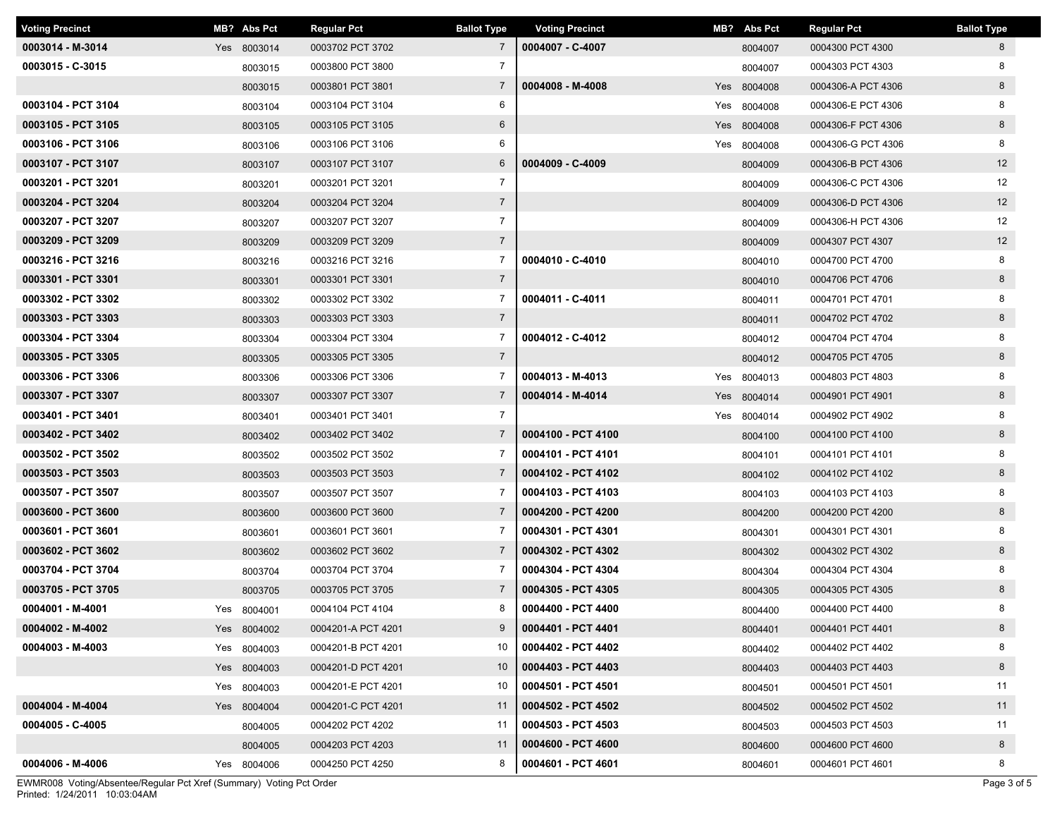| <b>Voting Precinct</b> | MB? Abs Pct | <b>Regular Pct</b> | <b>Ballot Type</b> | <b>Voting Precinct</b> | MB? Abs Pct | <b>Regular Pct</b> | <b>Ballot Type</b> |
|------------------------|-------------|--------------------|--------------------|------------------------|-------------|--------------------|--------------------|
| 0003014 - M-3014       | Yes 8003014 | 0003702 PCT 3702   | $7\overline{ }$    | 0004007 - C-4007       | 8004007     | 0004300 PCT 4300   | 8                  |
| 0003015 - C-3015       | 8003015     | 0003800 PCT 3800   | $\overline{7}$     |                        | 8004007     | 0004303 PCT 4303   | 8                  |
|                        | 8003015     | 0003801 PCT 3801   | $\overline{7}$     | 0004008 - M-4008       | Yes 8004008 | 0004306-A PCT 4306 | 8                  |
| 0003104 - PCT 3104     | 8003104     | 0003104 PCT 3104   | 6                  |                        | Yes 8004008 | 0004306-E PCT 4306 | 8                  |
| 0003105 - PCT 3105     | 8003105     | 0003105 PCT 3105   | 6                  |                        | Yes 8004008 | 0004306-F PCT 4306 | 8                  |
| 0003106 - PCT 3106     | 8003106     | 0003106 PCT 3106   | 6                  |                        | Yes 8004008 | 0004306-G PCT 4306 | 8                  |
| 0003107 - PCT 3107     | 8003107     | 0003107 PCT 3107   | 6                  | 0004009 - C-4009       | 8004009     | 0004306-B PCT 4306 | 12                 |
| 0003201 - PCT 3201     | 8003201     | 0003201 PCT 3201   | $\overline{7}$     |                        | 8004009     | 0004306-C PCT 4306 | 12                 |
| 0003204 - PCT 3204     | 8003204     | 0003204 PCT 3204   | $\overline{7}$     |                        | 8004009     | 0004306-D PCT 4306 | 12                 |
| 0003207 - PCT 3207     | 8003207     | 0003207 PCT 3207   | $\overline{7}$     |                        | 8004009     | 0004306-H PCT 4306 | 12                 |
| 0003209 - PCT 3209     | 8003209     | 0003209 PCT 3209   | $\overline{7}$     |                        | 8004009     | 0004307 PCT 4307   | 12                 |
| 0003216 - PCT 3216     | 8003216     | 0003216 PCT 3216   | $\overline{7}$     | 0004010 - C-4010       | 8004010     | 0004700 PCT 4700   | 8                  |
| 0003301 - PCT 3301     | 8003301     | 0003301 PCT 3301   | $7\overline{ }$    |                        | 8004010     | 0004706 PCT 4706   | 8                  |
| 0003302 - PCT 3302     | 8003302     | 0003302 PCT 3302   | 7                  | 0004011 - C-4011       | 8004011     | 0004701 PCT 4701   | 8                  |
| 0003303 - PCT 3303     | 8003303     | 0003303 PCT 3303   | $7\overline{ }$    |                        | 8004011     | 0004702 PCT 4702   | 8                  |
| 0003304 - PCT 3304     | 8003304     | 0003304 PCT 3304   | $\overline{7}$     | 0004012 - C-4012       | 8004012     | 0004704 PCT 4704   | 8                  |
| 0003305 - PCT 3305     | 8003305     | 0003305 PCT 3305   | $7\overline{ }$    |                        | 8004012     | 0004705 PCT 4705   | 8                  |
| 0003306 - PCT 3306     | 8003306     | 0003306 PCT 3306   | 7                  | 0004013 - M-4013       | Yes 8004013 | 0004803 PCT 4803   | 8                  |
| 0003307 - PCT 3307     | 8003307     | 0003307 PCT 3307   | $\overline{7}$     | 0004014 - M-4014       | Yes 8004014 | 0004901 PCT 4901   | 8                  |
| 0003401 - PCT 3401     | 8003401     | 0003401 PCT 3401   | $\overline{7}$     |                        | Yes 8004014 | 0004902 PCT 4902   | 8                  |
| 0003402 - PCT 3402     | 8003402     | 0003402 PCT 3402   | $\overline{7}$     | 0004100 - PCT 4100     | 8004100     | 0004100 PCT 4100   | 8                  |
| 0003502 - PCT 3502     | 8003502     | 0003502 PCT 3502   | $\overline{7}$     | 0004101 - PCT 4101     | 8004101     | 0004101 PCT 4101   | 8                  |
| 0003503 - PCT 3503     | 8003503     | 0003503 PCT 3503   | $\overline{7}$     | 0004102 - PCT 4102     | 8004102     | 0004102 PCT 4102   | 8                  |
| 0003507 - PCT 3507     | 8003507     | 0003507 PCT 3507   | $\overline{7}$     | 0004103 - PCT 4103     | 8004103     | 0004103 PCT 4103   | 8                  |
| 0003600 - PCT 3600     | 8003600     | 0003600 PCT 3600   | $\overline{7}$     | 0004200 - PCT 4200     | 8004200     | 0004200 PCT 4200   | 8                  |
| 0003601 - PCT 3601     | 8003601     | 0003601 PCT 3601   | 7                  | 0004301 - PCT 4301     | 8004301     | 0004301 PCT 4301   | 8                  |
| 0003602 - PCT 3602     | 8003602     | 0003602 PCT 3602   | $\overline{7}$     | 0004302 - PCT 4302     | 8004302     | 0004302 PCT 4302   | 8                  |
| 0003704 - PCT 3704     | 8003704     | 0003704 PCT 3704   | 7                  | 0004304 - PCT 4304     | 8004304     | 0004304 PCT 4304   | 8                  |
| 0003705 - PCT 3705     | 8003705     | 0003705 PCT 3705   | $\overline{7}$     | 0004305 - PCT 4305     | 8004305     | 0004305 PCT 4305   | 8                  |
| 0004001 - M-4001       | Yes 8004001 | 0004104 PCT 4104   | 8                  | 0004400 - PCT 4400     | 8004400     | 0004400 PCT 4400   | 8                  |
| 0004002 - M-4002       | Yes 8004002 | 0004201-A PCT 4201 | 9                  | 0004401 - PCT 4401     | 8004401     | 0004401 PCT 4401   | 8                  |
| 0004003 - M-4003       | Yes 8004003 | 0004201-B PCT 4201 | 10                 | 0004402 - PCT 4402     | 8004402     | 0004402 PCT 4402   | 8                  |
|                        | Yes 8004003 | 0004201-D PCT 4201 | 10                 | 0004403 - PCT 4403     | 8004403     | 0004403 PCT 4403   | 8                  |
|                        | Yes 8004003 | 0004201-E PCT 4201 | 10                 | 0004501 - PCT 4501     | 8004501     | 0004501 PCT 4501   | 11                 |
| 0004004 - M-4004       | Yes 8004004 | 0004201-C PCT 4201 | 11                 | 0004502 - PCT 4502     | 8004502     | 0004502 PCT 4502   | 11                 |
| 0004005 - C-4005       | 8004005     | 0004202 PCT 4202   | 11                 | 0004503 - PCT 4503     | 8004503     | 0004503 PCT 4503   | 11                 |
|                        | 8004005     | 0004203 PCT 4203   | 11                 | 0004600 - PCT 4600     | 8004600     | 0004600 PCT 4600   | 8                  |
| 0004006 - M-4006       | Yes 8004006 | 0004250 PCT 4250   | 8                  | 0004601 - PCT 4601     | 8004601     | 0004601 PCT 4601   | 8                  |

Printed: 1/24/2011 10:03:04AM EWMR008 Voting/Absentee/Regular Pct Xref (Summary) Voting Pct Order Page 3 of 5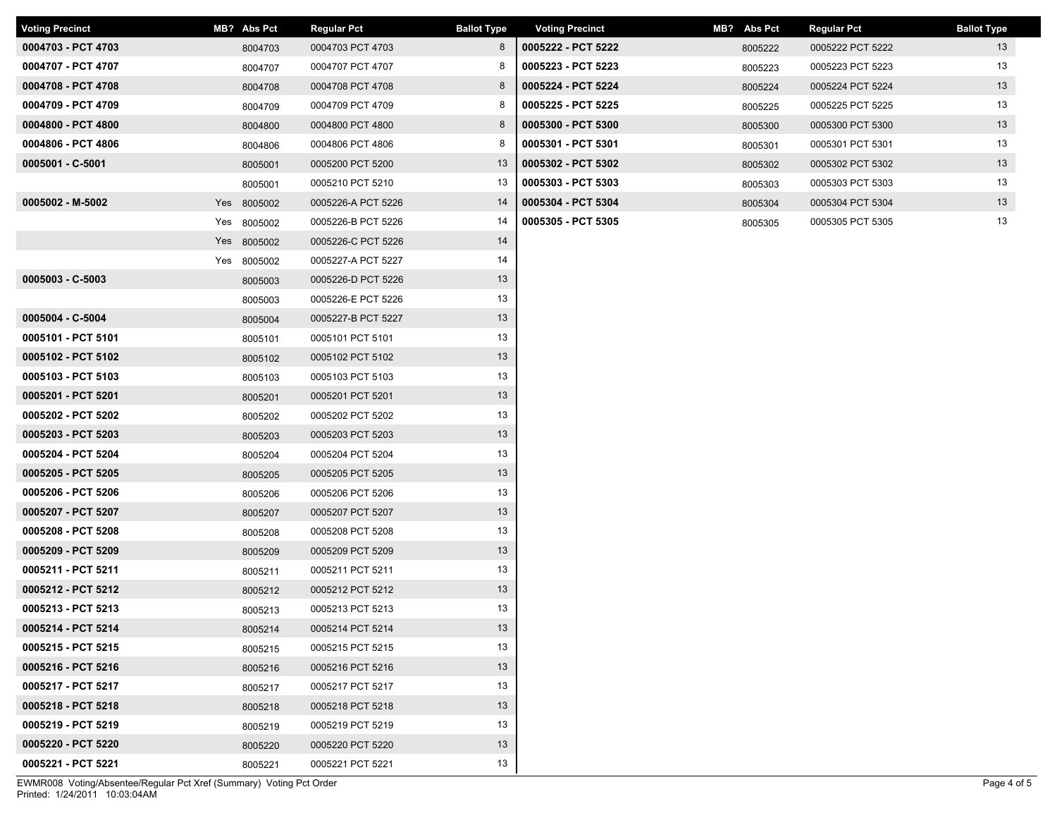| <b>Voting Precinct</b> | MB? Abs Pct | <b>Regular Pct</b> | <b>Ballot Type</b> | <b>Voting Precinct</b> | MB? Abs Pct | Regular Pct      | <b>Ballot Type</b> |
|------------------------|-------------|--------------------|--------------------|------------------------|-------------|------------------|--------------------|
| 0004703 - PCT 4703     | 8004703     | 0004703 PCT 4703   | 8                  | 0005222 - PCT 5222     | 8005222     | 0005222 PCT 5222 | 13                 |
| 0004707 - PCT 4707     | 8004707     | 0004707 PCT 4707   | 8                  | 0005223 - PCT 5223     | 8005223     | 0005223 PCT 5223 | 13                 |
| 0004708 - PCT 4708     | 8004708     | 0004708 PCT 4708   | 8                  | 0005224 - PCT 5224     | 8005224     | 0005224 PCT 5224 | 13                 |
| 0004709 - PCT 4709     | 8004709     | 0004709 PCT 4709   | 8                  | 0005225 - PCT 5225     | 8005225     | 0005225 PCT 5225 | 13                 |
| 0004800 - PCT 4800     | 8004800     | 0004800 PCT 4800   | 8                  | 0005300 - PCT 5300     | 8005300     | 0005300 PCT 5300 | 13                 |
| 0004806 - PCT 4806     | 8004806     | 0004806 PCT 4806   | 8                  | 0005301 - PCT 5301     | 8005301     | 0005301 PCT 5301 | 13                 |
| 0005001 - C-5001       | 8005001     | 0005200 PCT 5200   | 13                 | 0005302 - PCT 5302     | 8005302     | 0005302 PCT 5302 | 13                 |
|                        | 8005001     | 0005210 PCT 5210   | 13                 | 0005303 - PCT 5303     | 8005303     | 0005303 PCT 5303 | 13                 |
| 0005002 - M-5002       | Yes 8005002 | 0005226-A PCT 5226 | 14                 | 0005304 - PCT 5304     | 8005304     | 0005304 PCT 5304 | 13                 |
|                        | Yes 8005002 | 0005226-B PCT 5226 | 14                 | 0005305 - PCT 5305     | 8005305     | 0005305 PCT 5305 | 13                 |
|                        | Yes 8005002 | 0005226-C PCT 5226 | 14                 |                        |             |                  |                    |
|                        | Yes 8005002 | 0005227-A PCT 5227 | 14                 |                        |             |                  |                    |
| $0005003 - C - 5003$   | 8005003     | 0005226-D PCT 5226 | 13                 |                        |             |                  |                    |
|                        | 8005003     | 0005226-E PCT 5226 | 13                 |                        |             |                  |                    |
| 0005004 - C-5004       | 8005004     | 0005227-B PCT 5227 | 13                 |                        |             |                  |                    |
| 0005101 - PCT 5101     | 8005101     | 0005101 PCT 5101   | 13                 |                        |             |                  |                    |
| 0005102 - PCT 5102     | 8005102     | 0005102 PCT 5102   | 13                 |                        |             |                  |                    |
| 0005103 - PCT 5103     | 8005103     | 0005103 PCT 5103   | 13                 |                        |             |                  |                    |
| 0005201 - PCT 5201     | 8005201     | 0005201 PCT 5201   | 13                 |                        |             |                  |                    |
| 0005202 - PCT 5202     | 8005202     | 0005202 PCT 5202   | 13                 |                        |             |                  |                    |
| 0005203 - PCT 5203     | 8005203     | 0005203 PCT 5203   | 13                 |                        |             |                  |                    |
| 0005204 - PCT 5204     | 8005204     | 0005204 PCT 5204   | 13                 |                        |             |                  |                    |
| 0005205 - PCT 5205     | 8005205     | 0005205 PCT 5205   | 13                 |                        |             |                  |                    |
| 0005206 - PCT 5206     | 8005206     | 0005206 PCT 5206   | 13                 |                        |             |                  |                    |
| 0005207 - PCT 5207     | 8005207     | 0005207 PCT 5207   | 13                 |                        |             |                  |                    |
| 0005208 - PCT 5208     | 8005208     | 0005208 PCT 5208   | 13                 |                        |             |                  |                    |
| 0005209 - PCT 5209     | 8005209     | 0005209 PCT 5209   | 13                 |                        |             |                  |                    |
| 0005211 - PCT 5211     | 8005211     | 0005211 PCT 5211   | 13                 |                        |             |                  |                    |
| 0005212 - PCT 5212     | 8005212     | 0005212 PCT 5212   | 13                 |                        |             |                  |                    |
| 0005213 - PCT 5213     | 8005213     | 0005213 PCT 5213   | 13                 |                        |             |                  |                    |
| 0005214 - PCT 5214     | 8005214     | 0005214 PCT 5214   | 13                 |                        |             |                  |                    |
| 0005215 - PCT 5215     | 8005215     | 0005215 PCT 5215   | 13                 |                        |             |                  |                    |
| 0005216 - PCT 5216     | 8005216     | 0005216 PCT 5216   | 13                 |                        |             |                  |                    |
| 0005217 - PCT 5217     | 8005217     | 0005217 PCT 5217   | 13                 |                        |             |                  |                    |
| 0005218 - PCT 5218     | 8005218     | 0005218 PCT 5218   | 13                 |                        |             |                  |                    |
| 0005219 - PCT 5219     | 8005219     | 0005219 PCT 5219   | 13                 |                        |             |                  |                    |
| 0005220 - PCT 5220     | 8005220     | 0005220 PCT 5220   | 13                 |                        |             |                  |                    |
| 0005221 - PCT 5221     | 8005221     | 0005221 PCT 5221   | 13                 |                        |             |                  |                    |